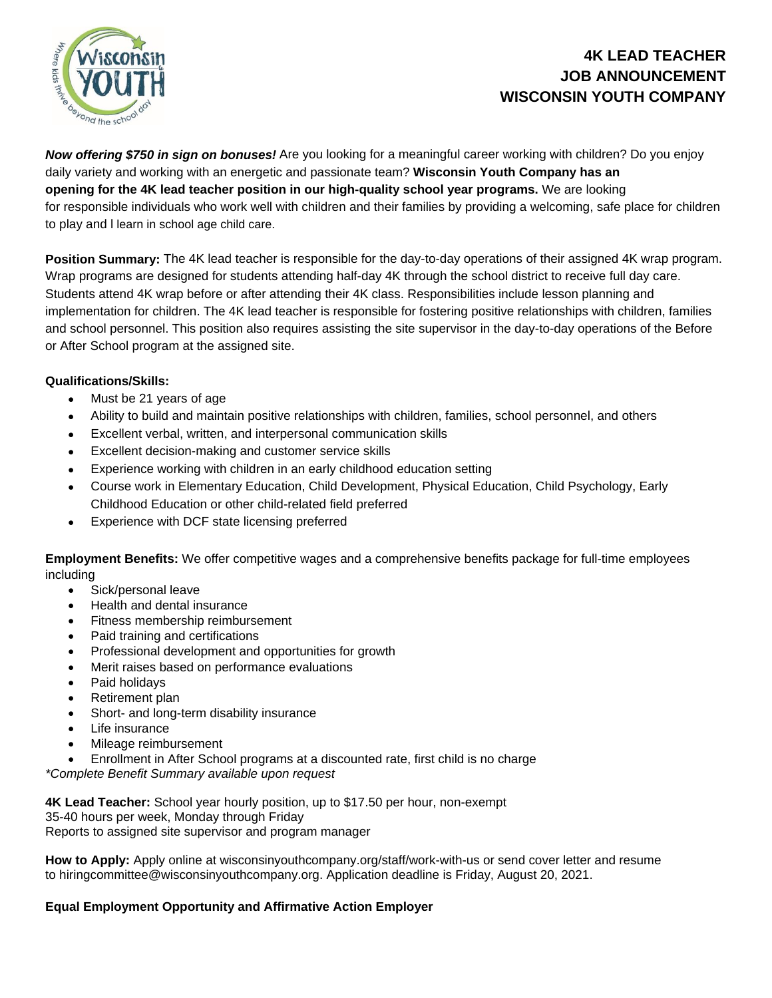

## **4K LEAD TEACHER JOB ANNOUNCEMENT WISCONSIN YOUTH COMPANY**

*Now offering \$750 in sign on bonuses!* Are you looking for a meaningful career working with children? Do you enjoy daily variety and working with an energetic and passionate team? **Wisconsin Youth Company has an opening for the 4K lead teacher position in our high-quality school year programs.** We are looking for responsible individuals who work well with children and their families by providing a welcoming, safe place for children to play and l learn in school age child care.

**Position Summary:** The 4K lead teacher is responsible for the day-to-day operations of their assigned 4K wrap program. Wrap programs are designed for students attending half-day 4K through the school district to receive full day care. Students attend 4K wrap before or after attending their 4K class. Responsibilities include lesson planning and implementation for children. The 4K lead teacher is responsible for fostering positive relationships with children, families and school personnel. This position also requires assisting the site supervisor in the day-to-day operations of the Before or After School program at the assigned site.

## **Qualifications/Skills:**

- Must be 21 years of age
- Ability to build and maintain positive relationships with children, families, school personnel, and others
- Excellent verbal, written, and interpersonal communication skills
- Excellent decision-making and customer service skills
- Experience working with children in an early childhood education setting
- Course work in Elementary Education, Child Development, Physical Education, Child Psychology, Early Childhood Education or other child-related field preferred
- Experience with DCF state licensing preferred

**Employment Benefits:** We offer competitive wages and a comprehensive benefits package for full-time employees including

- Sick/personal leave
- Health and dental insurance
- Fitness membership reimbursement
- Paid training and certifications
- Professional development and opportunities for growth
- Merit raises based on performance evaluations
- Paid holidays
- Retirement plan
- Short- and long-term disability insurance
- Life insurance
- Mileage reimbursement
- Enrollment in After School programs at a discounted rate, first child is no charge

*\*Complete Benefit Summary available upon request*

**4K Lead Teacher:** School year hourly position, up to \$17.50 per hour, non-exempt 35-40 hours per week, Monday through Friday Reports to assigned site supervisor and program manager

**How to Apply:** Apply online at wisconsinyouthcompany.org/staff/work-with-us or send cover letter and resume to hiringcommittee@wisconsinyouthcompany.org. Application deadline is Friday, August 20, 2021.

## **Equal Employment Opportunity and Affirmative Action Employer**